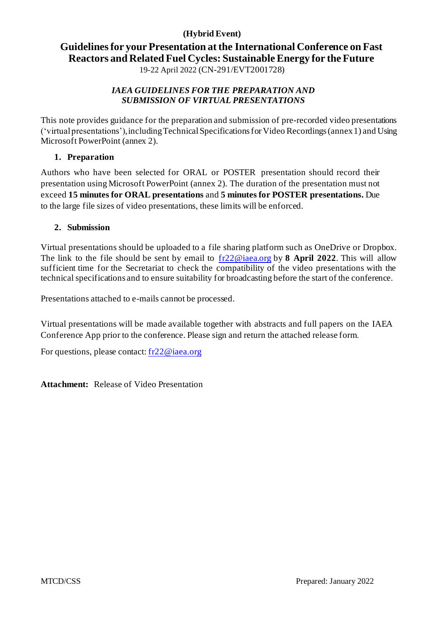# **(Hybrid Event)**

# **Guidelines for your Presentation at the International Conference on Fast Reactors and Related Fuel Cycles: Sustainable Energy for the Future**

19-22 April 2022 (CN-291/EVT2001728)

# *IAEA GUIDELINES FOR THE PREPARATION AND SUBMISSION OF VIRTUAL PRESENTATIONS*

This note provides guidance for the preparation and submission of pre-recorded video presentations ('virtual presentations'), includingTechnicalSpecificationsforVideo Recordings (annex 1) and Using Microsoft PowerPoint (annex 2).

# **1. Preparation**

Authors who have been selected for ORAL or POSTER presentation should record their presentation using Microsoft PowerPoint (annex 2). The duration of the presentation must not exceed **15 minutes for ORAL presentations** and **5 minutes for POSTER presentations.** Due to the large file sizes of video presentations, these limits will be enforced.

# **2. Submission**

Virtual presentations should be uploaded to a file sharing platform such as OneDrive or Dropbox. The link to the file should be sent by email to [fr22@iaea.org](mailto:fr22@iaea.org) by **8 April 2022**. This will allow sufficient time for the Secretariat to check the compatibility of the video presentations with the technical specifications and to ensure suitability for broadcasting before the start of the conference.

Presentations attached to e-mails cannot be processed.

Virtual presentations will be made available together with abstracts and full papers on the IAEA Conference App prior to the conference. Please sign and return the attached release form.

For questions, please contact[: fr22@iaea.org](mailto:fr22@iaea.org)

**Attachment:** Release of Video Presentation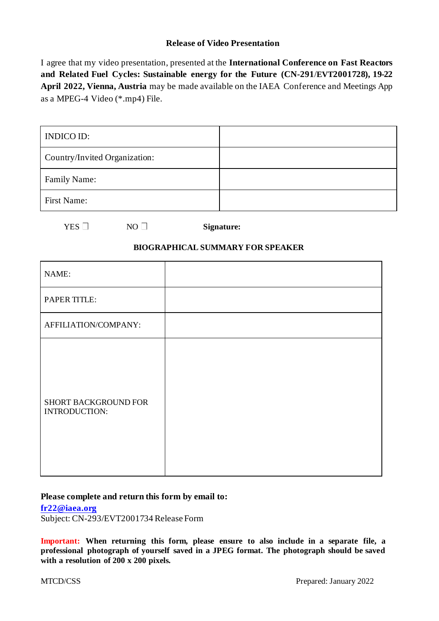## **Release of Video Presentation**

I agree that my video presentation, presented at the **International Conference on Fast Reactors and Related Fuel Cycles: Sustainable energy for the Future (CN-291**/**EVT2001728), 19-22 April 2022, Vienna, Austria** may be made available on the IAEA Conference and Meetings App as a MPEG-4 Video (\*.mp4) File.

| <b>INDICO ID:</b>                            |    |  |            |  |  |  |  |
|----------------------------------------------|----|--|------------|--|--|--|--|
| Country/Invited Organization:                |    |  |            |  |  |  |  |
| Family Name:                                 |    |  |            |  |  |  |  |
| First Name:                                  |    |  |            |  |  |  |  |
| YES $\Box$                                   | NO |  | Signature: |  |  |  |  |
| <b>BIOGRAPHICAL SUMMARY FOR SPEAKER</b>      |    |  |            |  |  |  |  |
| NAME:                                        |    |  |            |  |  |  |  |
| PAPER TITLE:                                 |    |  |            |  |  |  |  |
| AFFILIATION/COMPANY:                         |    |  |            |  |  |  |  |
| <b>SHORT BACKGROUND FOR</b><br>INTRODUCTION: |    |  |            |  |  |  |  |

#### **Please complete and return this form by email to:**

**[fr22@iaea.org](mailto:fr22@iaea.org)**

Subject: CN-293/EVT2001734 Release Form

**Important: When returning this form, please ensure to also include in a separate file, a professional photograph of yourself saved in a JPEG format. The photograph should be saved with a resolution of 200 x 200 pixels.**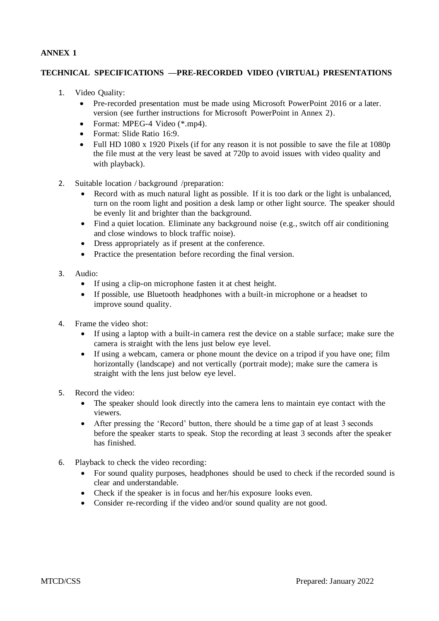## **ANNEX 1**

## **TECHNICAL SPECIFICATIONS —PRE-RECORDED VIDEO (VIRTUAL) PRESENTATIONS**

- 1. Video Quality:
	- Pre-recorded presentation must be made using Microsoft PowerPoint 2016 or a later. version (see further instructions for Microsoft PowerPoint in Annex 2).
	- Format: MPEG-4 Video (\*.mp4).
	- Format: Slide Ratio 16:9.
	- Full HD 1080 x 1920 Pixels (if for any reason it is not possible to save the file at 1080p the file must at the very least be saved at 720p to avoid issues with video quality and with playback).
- 2. Suitable location / background /preparation:
	- Record with as much natural light as possible. If it is too dark or the light is unbalanced, turn on the room light and position a desk lamp or other light source. The speaker should be evenly lit and brighter than the background.
	- Find a quiet location. Eliminate any background noise (e.g., switch off air conditioning and close windows to block traffic noise).
	- Dress appropriately as if present at the conference.
	- Practice the presentation before recording the final version.
- 3. Audio:
	- If using a clip-on microphone fasten it at chest height.
	- If possible, use Bluetooth headphones with a built-in microphone or a headset to improve sound quality.
- 4. Frame the video shot:
	- If using a laptop with a built-in camera rest the device on a stable surface; make sure the camera is straight with the lens just below eye level.
	- If using a webcam, camera or phone mount the device on a tripod if you have one; film horizontally (landscape) and not vertically (portrait mode); make sure the camera is straight with the lens just below eye level.
- 5. Record the video:
	- The speaker should look directly into the camera lens to maintain eye contact with the viewers.
	- After pressing the 'Record' button, there should be a time gap of at least 3 seconds before the speaker starts to speak. Stop the recording at least 3 seconds after the speaker has finished.
- 6. Playback to check the video recording:
	- For sound quality purposes, headphones should be used to check if the recorded sound is clear and understandable.
	- Check if the speaker is in focus and her/his exposure looks even.
	- Consider re-recording if the video and/or sound quality are not good.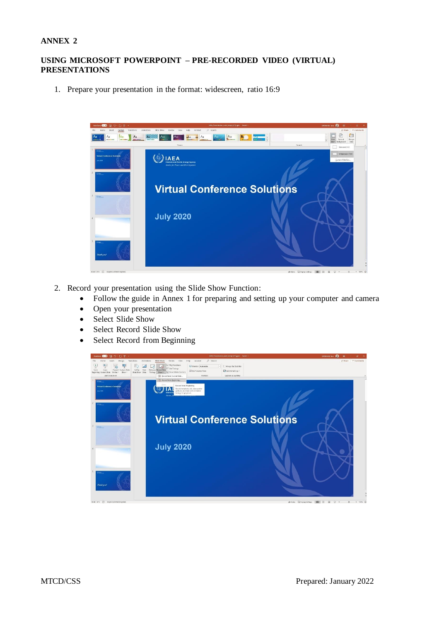#### **ANNEX 2**

## **USING MICROSOFT POWERPOINT – PRE-RECORDED VIDEO (VIRTUAL) PRESENTATIONS**

1. Prepare your presentation in the format: widescreen, ratio 16:9



- 2. Record your presentation using the Slide Show Function:
	- Follow the guide in Annex 1 for preparing and setting up your computer and camera
	- Open your presentation
	- Select Slide Show
	- Select Record Slide Show
	- Select Record from Beginning

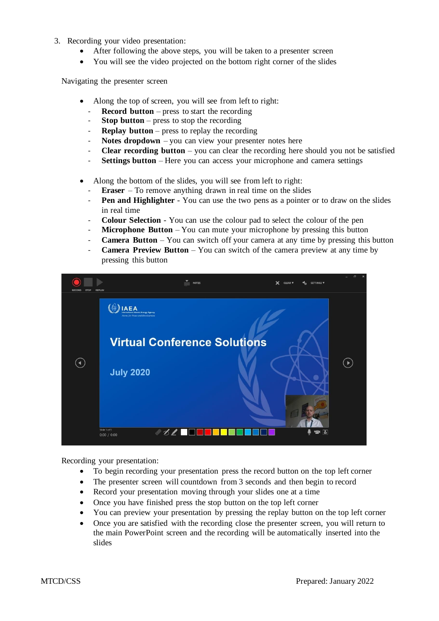- 3. Recording your video presentation:
	- After following the above steps, you will be taken to a presenter screen
	- You will see the video projected on the bottom right corner of the slides

Navigating the presenter screen

- Along the top of screen, you will see from left to right:
	- **Record button** press to start the recording
	- **Stop button** press to stop the recording
	- **Replay button** press to replay the recording
	- **Notes dropdown** you can view your presenter notes here
	- **Clear recording button** you can clear the recording here should you not be satisfied
	- **Settings button** Here you can access your microphone and camera settings
- Along the bottom of the slides, you will see from left to right:
	- **Eraser**  To remove anything drawn in real time on the slides
	- **Pen and Highlighter** You can use the two pens as a pointer or to draw on the slides in real time
	- **Colour Selection** You can use the colour pad to select the colour of the pen
	- **Microphone Button** You can mute your microphone by pressing this button
	- **Camera Button** You can switch off your camera at any time by pressing this button
	- **Camera Preview Button** You can switch of the camera preview at any time by pressing this button



Recording your presentation:

- To begin recording your presentation press the record button on the top left corner
- The presenter screen will countdown from 3 seconds and then begin to record
- Record your presentation moving through your slides one at a time
- Once you have finished press the stop button on the top left corner
- You can preview your presentation by pressing the replay button on the top left corner
- Once you are satisfied with the recording close the presenter screen, you will return to the main PowerPoint screen and the recording will be automatically inserted into the slides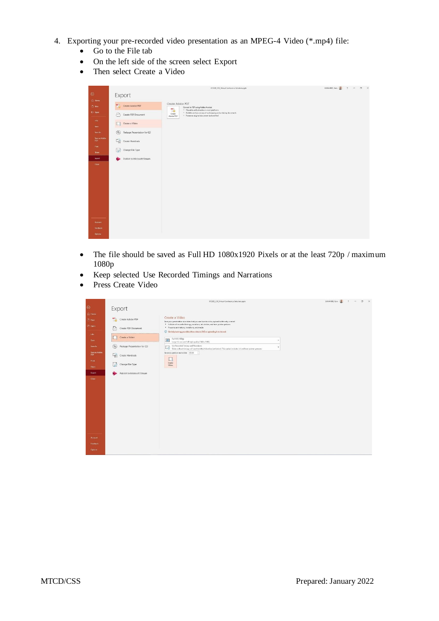- 4. Exporting your pre-recorded video presentation as an MPEG-4 Video (\*.mp4) file:
	- Go to the File tab
	- On the left side of the screen select Export
	- Then select Create a Video

|                          |                                               | 072020_CSS_Tirtual Conference Solutions.ppbr                                                                                                                                                                                 | DANAHER, Tom $\frac{1}{2}$ , $2 = 0 \times$ |
|--------------------------|-----------------------------------------------|------------------------------------------------------------------------------------------------------------------------------------------------------------------------------------------------------------------------------|---------------------------------------------|
| $\odot$                  | Export                                        |                                                                                                                                                                                                                              |                                             |
| (h) Home<br><b>D</b> New | 思<br>Create Adobe PDF                         | Create Adobe PDF<br>Convert to PDF using Adobe Acrobat<br>m.                                                                                                                                                                 |                                             |
| ED Open                  | A<br>Create PDF Document                      | <sup>11</sup> Viewable and printable on most platforms<br>14<br><sup>11</sup> Reliable and secure way of exchanging and archiving documents<br>Create<br><sup>2</sup> Preserves original document look and feel<br>Adobe PDF |                                             |
| info.<br>Seve.           | $\Box$<br>Create a Video                      |                                                                                                                                                                                                                              |                                             |
| Save As                  | $\circledcirc$<br>Package Presentation for CD |                                                                                                                                                                                                                              |                                             |
| Save as Adobe<br>PDF     | $\Box$ Create Handouts                        |                                                                                                                                                                                                                              |                                             |
| Print<br><b>Share</b>    | $\boxdot$<br>Change File Type                 |                                                                                                                                                                                                                              |                                             |
| Export                   | Publish to Microsoft Stream                   |                                                                                                                                                                                                                              |                                             |
| Close                    |                                               |                                                                                                                                                                                                                              |                                             |
| Account                  |                                               |                                                                                                                                                                                                                              |                                             |
| Feedback                 |                                               |                                                                                                                                                                                                                              |                                             |
| Options:                 |                                               |                                                                                                                                                                                                                              |                                             |

- The file should be saved as Full HD 1080x1920 Pixels or at the least 720p / maximum 1080p
- Keep selected Use Recorded Timings and Narrations
- Press Create Video

|                              |                                               | 072020_CSS_Vetual Conference Solutions.aptx                                                                                                                                        | $ 0 \times$<br>DANAHER Torn |
|------------------------------|-----------------------------------------------|------------------------------------------------------------------------------------------------------------------------------------------------------------------------------------|-----------------------------|
| $\odot$                      | Export                                        |                                                                                                                                                                                    |                             |
| (a) Home<br><sup>2</sup> New | Create Adobe PDF                              | Create a Video<br>Save your presentation as a video that you can burn to a disc, upload to the web, or email                                                                       |                             |
| <b>C</b> Open                | ⋻<br>Create PDF Document                      | * Includes all recorded timings, narrations, ink strokes, and laser pointer gestures<br>Preserves animations, transitions, and media                                               |                             |
| 1tifa:<br>Save               | Create a Video                                | <sup>2</sup> Get help burning your slide show video to DVD or uploading it to the web<br>Full HD (1080p)<br>$\bigcirc$<br>٠<br>Large file size and full high quality (1440 x 1080) |                             |
| <b>Save As</b>               | $\circledcirc$<br>Package Presentation for CD | Use Recorded Timings and Narrations<br>L.<br>Slides without timings will use the default duration (set below). This option includes ink and laser pointer gestures.                |                             |
| Save as Adobe<br>PDF         | Create Handouts<br>$-$                        |                                                                                                                                                                                    |                             |
| Print:<br>Shire              | Change File Type                              | $\square$<br>Create<br>Video                                                                                                                                                       |                             |
| Export                       | Publish to Microsoft Stream                   |                                                                                                                                                                                    |                             |
| Close                        |                                               |                                                                                                                                                                                    |                             |
|                              |                                               |                                                                                                                                                                                    |                             |
|                              |                                               |                                                                                                                                                                                    |                             |
|                              |                                               |                                                                                                                                                                                    |                             |
|                              |                                               |                                                                                                                                                                                    |                             |
|                              |                                               |                                                                                                                                                                                    |                             |
|                              |                                               |                                                                                                                                                                                    |                             |
|                              |                                               |                                                                                                                                                                                    |                             |
| Account<br>Feedback          |                                               |                                                                                                                                                                                    |                             |
| <b>Options</b>               |                                               |                                                                                                                                                                                    |                             |